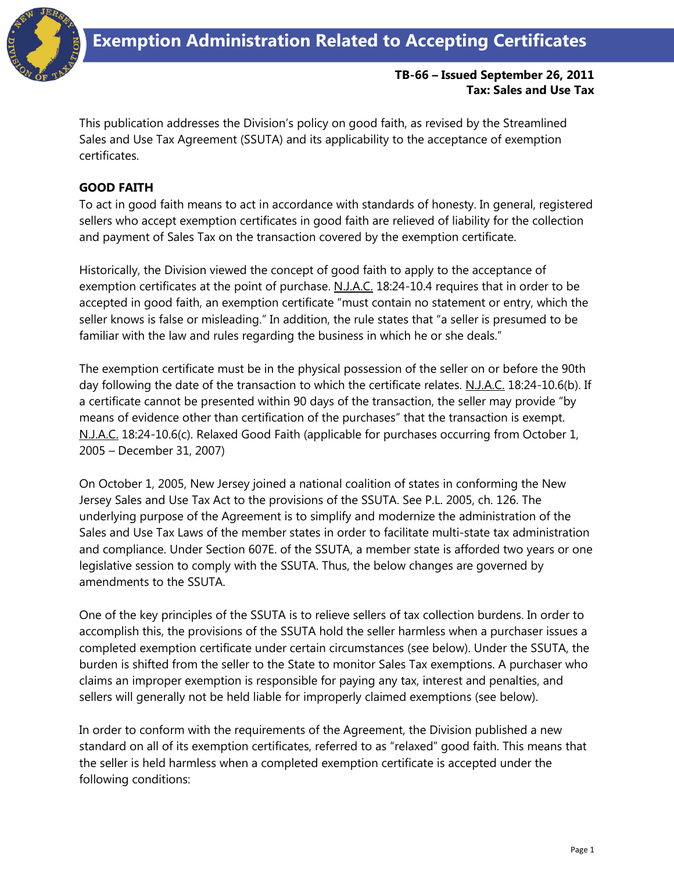

### **TB-66 – Issued September 26, 2011 Tax: Sales and Use Tax**

This publication addresses the Division's policy on good faith, as revised by the Streamlined Sales and Use Tax Agreement (SSUTA) and its applicability to the acceptance of exemption certificates.

# **GOOD FAITH**

To act in good faith means to act in accordance with standards of honesty. In general, registered sellers who accept exemption certificates in good faith are relieved of liability for the collection and payment of Sales Tax on the transaction covered by the exemption certificate.

Historically, the Division viewed the concept of good faith to apply to the acceptance of exemption certificates at the point of purchase. N.J.A.C. 18:24-10.4 requires that in order to be accepted in good faith, an exemption certificate "must contain no statement or entry, which the seller knows is false or misleading." In addition, the rule states that "a seller is presumed to be familiar with the law and rules regarding the business in which he or she deals."

The exemption certificate must be in the physical possession of the seller on or before the 90th day following the date of the transaction to which the certificate relates. N.J.A.C. 18:24-10.6(b). If a certificate cannot be presented within 90 days of the transaction, the seller may provide "by means of evidence other than certification of the purchases" that the transaction is exempt. N.J.A.C. 18:24-10.6(c). Relaxed Good Faith (applicable for purchases occurring from October 1, 2005 – December 31, 2007)

On October 1, 2005, New Jersey joined a national coalition of states in conforming the New Jersey Sales and Use Tax Act to the provisions of the SSUTA. See P.L. 2005, ch. 126. The underlying purpose of the Agreement is to simplify and modernize the administration of the Sales and Use Tax Laws of the member states in order to facilitate multi-state tax administration and compliance. Under Section 607E. of the SSUTA, a member state is afforded two years or one legislative session to comply with the SSUTA. Thus, the below changes are governed by amendments to the SSUTA.

One of the key principles of the SSUTA is to relieve sellers of tax collection burdens. In order to accomplish this, the provisions of the SSUTA hold the seller harmless when a purchaser issues a completed exemption certificate under certain circumstances (see below). Under the SSUTA, the burden is shifted from the seller to the State to monitor Sales Tax exemptions. A purchaser who claims an improper exemption is responsible for paying any tax, interest and penalties, and sellers will generally not be held liable for improperly claimed exemptions (see below).

In order to conform with the requirements of the Agreement, the Division published a new standard on all of its exemption certificates, referred to as "relaxed" good faith. This means that the seller is held harmless when a completed exemption certificate is accepted under the following conditions: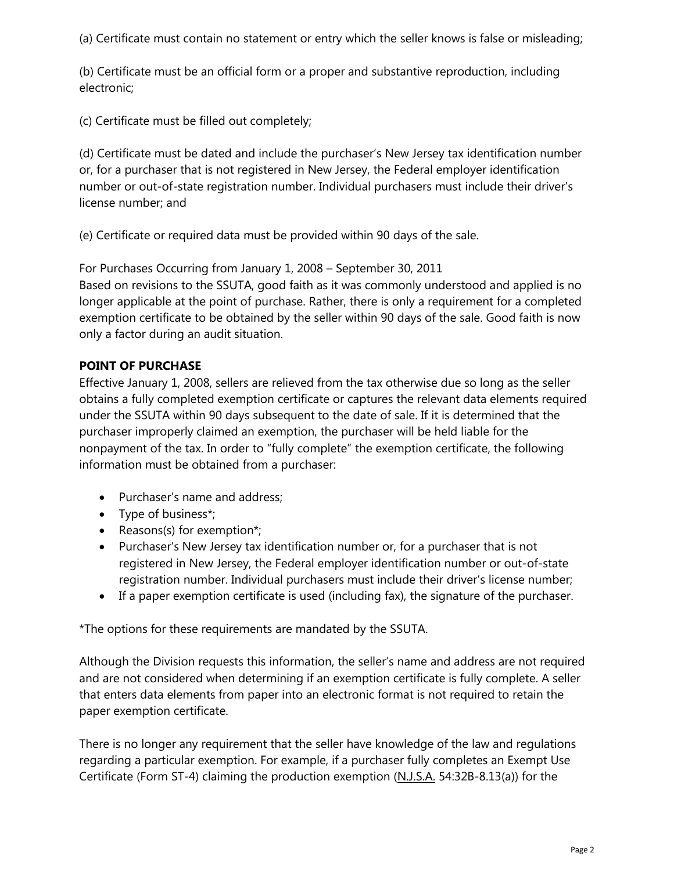(a) Certificate must contain no statement or entry which the seller knows is false or misleading;

(b) Certificate must be an official form or a proper and substantive reproduction, including electronic;

(c) Certificate must be filled out completely;

(d) Certificate must be dated and include the purchaser's New Jersey tax identification number or, for a purchaser that is not registered in New Jersey, the Federal employer identification number or out-of-state registration number. Individual purchasers must include their driver's license number; and

(e) Certificate or required data must be provided within 90 days of the sale.

For Purchases Occurring from January 1, 2008 – September 30, 2011 Based on revisions to the SSUTA, good faith as it was commonly understood and applied is no longer applicable at the point of purchase. Rather, there is only a requirement for a completed exemption certificate to be obtained by the seller within 90 days of the sale. Good faith is now only a factor during an audit situation.

# **POINT OF PURCHASE**

Effective January 1, 2008, sellers are relieved from the tax otherwise due so long as the seller obtains a fully completed exemption certificate or captures the relevant data elements required under the SSUTA within 90 days subsequent to the date of sale. If it is determined that the purchaser improperly claimed an exemption, the purchaser will be held liable for the nonpayment of the tax. In order to "fully complete" the exemption certificate, the following information must be obtained from a purchaser:

- Purchaser's name and address;
- Type of business\*;
- Reasons(s) for exemption\*;
- Purchaser's New Jersey tax identification number or, for a purchaser that is not registered in New Jersey, the Federal employer identification number or out-of-state registration number. Individual purchasers must include their driver's license number;
- If a paper exemption certificate is used (including fax), the signature of the purchaser.

\*The options for these requirements are mandated by the SSUTA.

Although the Division requests this information, the seller's name and address are not required and are not considered when determining if an exemption certificate is fully complete. A seller that enters data elements from paper into an electronic format is not required to retain the paper exemption certificate.

There is no longer any requirement that the seller have knowledge of the law and regulations regarding a particular exemption. For example, if a purchaser fully completes an Exempt Use Certificate (Form ST-4) claiming the production exemption (N.J.S.A. 54:32B-8.13(a)) for the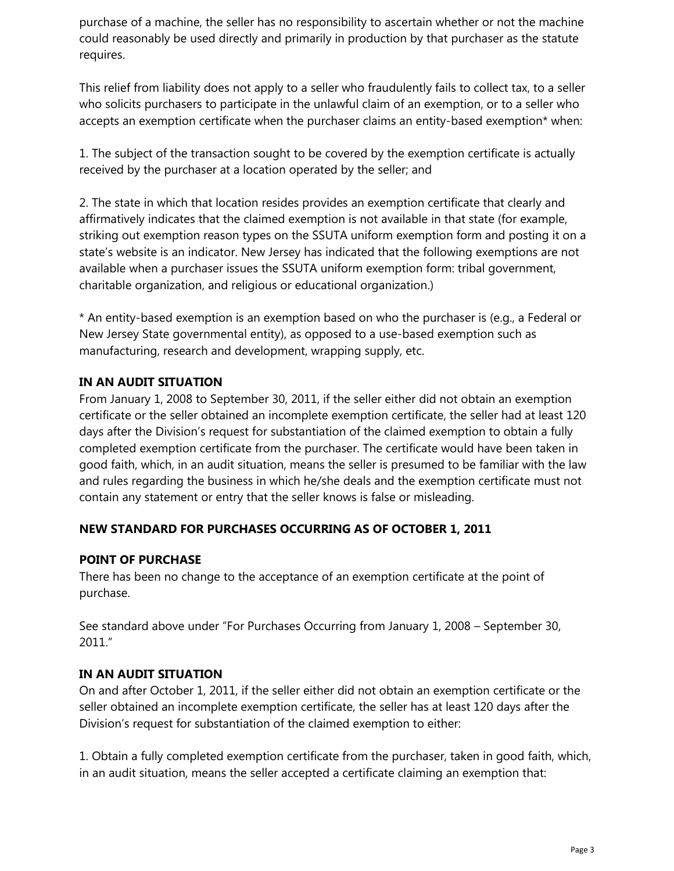purchase of a machine, the seller has no responsibility to ascertain whether or not the machine could reasonably be used directly and primarily in production by that purchaser as the statute requires.

This relief from liability does not apply to a seller who fraudulently fails to collect tax, to a seller who solicits purchasers to participate in the unlawful claim of an exemption, or to a seller who accepts an exemption certificate when the purchaser claims an entity-based exemption\* when:

1. The subject of the transaction sought to be covered by the exemption certificate is actually received by the purchaser at a location operated by the seller; and

2. The state in which that location resides provides an exemption certificate that clearly and affirmatively indicates that the claimed exemption is not available in that state (for example, striking out exemption reason types on the SSUTA uniform exemption form and posting it on a state's website is an indicator. New Jersey has indicated that the following exemptions are not available when a purchaser issues the SSUTA uniform exemption form: tribal government, charitable organization, and religious or educational organization.)

\* An entity-based exemption is an exemption based on who the purchaser is (e.g., a Federal or New Jersey State governmental entity), as opposed to a use-based exemption such as manufacturing, research and development, wrapping supply, etc.

# **IN AN AUDIT SITUATION**

From January 1, 2008 to September 30, 2011, if the seller either did not obtain an exemption certificate or the seller obtained an incomplete exemption certificate, the seller had at least 120 days after the Division's request for substantiation of the claimed exemption to obtain a fully completed exemption certificate from the purchaser. The certificate would have been taken in good faith, which, in an audit situation, means the seller is presumed to be familiar with the law and rules regarding the business in which he/she deals and the exemption certificate must not contain any statement or entry that the seller knows is false or misleading.

## **NEW STANDARD FOR PURCHASES OCCURRING AS OF OCTOBER 1, 2011**

## **POINT OF PURCHASE**

There has been no change to the acceptance of an exemption certificate at the point of purchase.

See standard above under "For Purchases Occurring from January 1, 2008 – September 30, 2011."

## **IN AN AUDIT SITUATION**

On and after October 1, 2011, if the seller either did not obtain an exemption certificate or the seller obtained an incomplete exemption certificate, the seller has at least 120 days after the Division's request for substantiation of the claimed exemption to either:

1. Obtain a fully completed exemption certificate from the purchaser, taken in good faith, which, in an audit situation, means the seller accepted a certificate claiming an exemption that: